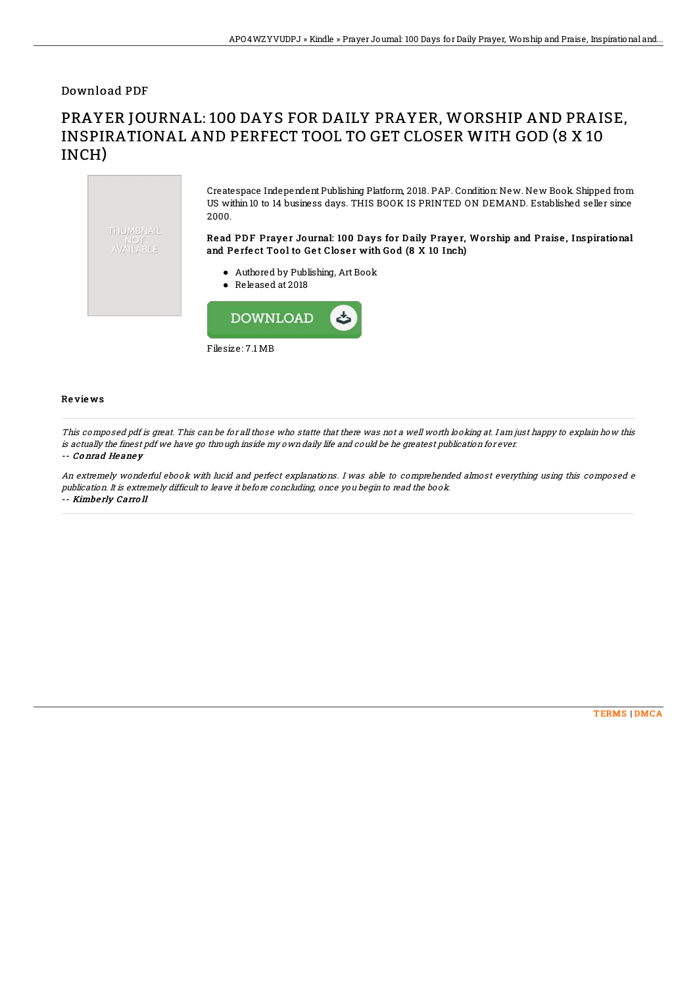Download PDF

## PRAYER JOURNAL: 100 DAYS FOR DAILY PRAYER, WORSHIP AND PRAISE, INSPIRATIONAL AND PERFECT TOOL TO GET CLOSER WITH GOD (8 X 10 INCH)



Filesize: 7.1 MB

## Re vie ws

This composed pdf is great. This can be for all those who statte that there was not <sup>a</sup> well worth looking at. I am just happy to explain how this is actually the finest pdf we have go through inside my own daily life and could be he greatest publication for ever.

## -- Co nrad He ane y

An extremely wonderful ebook with lucid and perfect explanations. I was able to comprehended almost everything using this composed <sup>e</sup> publication. It is extremely difficult to leave it before concluding, once you begin to read the book. -- Kimbe rly Carro ll